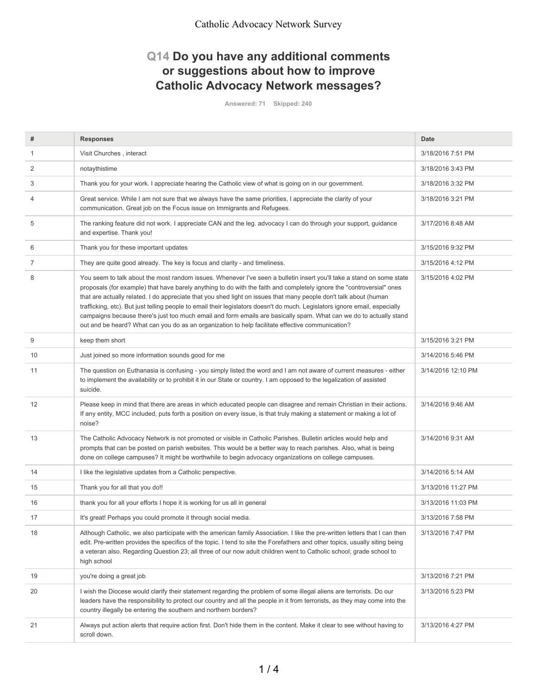## **Q14 Do you have any additional comments or suggestions about how to improve Catholic Advocacy Network messages?**

**Answered: 71 Skipped: 240**

| #  | <b>Responses</b>                                                                                                                                                                                                                                                                                                                                                                                                                                                                                                                                                                                                                                                                                                             | Date               |
|----|------------------------------------------------------------------------------------------------------------------------------------------------------------------------------------------------------------------------------------------------------------------------------------------------------------------------------------------------------------------------------------------------------------------------------------------------------------------------------------------------------------------------------------------------------------------------------------------------------------------------------------------------------------------------------------------------------------------------------|--------------------|
| 1  | Visit Churches, interact                                                                                                                                                                                                                                                                                                                                                                                                                                                                                                                                                                                                                                                                                                     | 3/18/2016 7:51 PM  |
| 2  | notaythistime                                                                                                                                                                                                                                                                                                                                                                                                                                                                                                                                                                                                                                                                                                                | 3/18/2016 3:43 PM  |
| 3  | Thank you for your work. I appreciate hearing the Catholic view of what is going on in our government.                                                                                                                                                                                                                                                                                                                                                                                                                                                                                                                                                                                                                       | 3/18/2016 3:32 PM  |
| 4  | Great service. While I am not sure that we always have the same priorities, I appreciate the clarity of your<br>communication. Great job on the Focus issue on Immigrants and Refugees.                                                                                                                                                                                                                                                                                                                                                                                                                                                                                                                                      | 3/18/2016 3:21 PM  |
| 5  | The ranking feature did not work. I appreciate CAN and the leg. advocacy I can do through your support, guidance<br>and expertise. Thank you!                                                                                                                                                                                                                                                                                                                                                                                                                                                                                                                                                                                | 3/17/2016 8:48 AM  |
| 6  | Thank you for these important updates                                                                                                                                                                                                                                                                                                                                                                                                                                                                                                                                                                                                                                                                                        | 3/15/2016 9:32 PM  |
| 7  | They are quite good already. The key is focus and clarity - and timeliness.                                                                                                                                                                                                                                                                                                                                                                                                                                                                                                                                                                                                                                                  | 3/15/2016 4:12 PM  |
| 8  | You seem to talk about the most random issues. Whenever I've seen a bulletin insert you'll take a stand on some state<br>proposals (for example) that have barely anything to do with the faith and completely ignore the "controversial" ones<br>that are actually related. I do appreciate that you shed light on issues that many people don't talk about (human<br>trafficking, etc). But just telling people to email their legislators doesn't do much. Legislators ignore email, especially<br>campaigns because there's just too much email and form emails are basically spam. What can we do to actually stand<br>out and be heard? What can you do as an organization to help facilitate effective communication? | 3/15/2016 4:02 PM  |
| 9  | keep them short                                                                                                                                                                                                                                                                                                                                                                                                                                                                                                                                                                                                                                                                                                              | 3/15/2016 3:21 PM  |
| 10 | Just joined so more information sounds good for me                                                                                                                                                                                                                                                                                                                                                                                                                                                                                                                                                                                                                                                                           | 3/14/2016 5:46 PM  |
| 11 | The question on Euthanasia is confusing - you simply listed the word and I am not aware of current measures - either<br>to implement the availability or to prohibit it in our State or country. I am opposed to the legalization of assisted<br>suicide.                                                                                                                                                                                                                                                                                                                                                                                                                                                                    | 3/14/2016 12:10 PM |
| 12 | Please keep in mind that there are areas in which educated people can disagree and remain Christian in their actions.<br>If any entity, MCC included, puts forth a position on every issue, is that truly making a statement or making a lot of<br>noise?                                                                                                                                                                                                                                                                                                                                                                                                                                                                    | 3/14/2016 9:46 AM  |
| 13 | The Catholic Advocacy Network is not promoted or visible in Catholic Parishes. Bulletin articles would help and<br>prompts that can be posted on parish websites. This would be a better way to reach parishes. Also, what is being<br>done on college campuses? It might be worthwhile to begin advocacy organizations on college campuses.                                                                                                                                                                                                                                                                                                                                                                                 | 3/14/2016 9:31 AM  |
| 14 | I like the legislative updates from a Catholic perspective.                                                                                                                                                                                                                                                                                                                                                                                                                                                                                                                                                                                                                                                                  | 3/14/2016 5:14 AM  |
| 15 | Thank you for all that you do!!                                                                                                                                                                                                                                                                                                                                                                                                                                                                                                                                                                                                                                                                                              | 3/13/2016 11:27 PM |
| 16 | thank you for all your efforts I hope it is working for us all in general                                                                                                                                                                                                                                                                                                                                                                                                                                                                                                                                                                                                                                                    | 3/13/2016 11:03 PM |
| 17 | It's great! Perhaps you could promote it through social media.                                                                                                                                                                                                                                                                                                                                                                                                                                                                                                                                                                                                                                                               | 3/13/2016 7:58 PM  |
| 18 | Although Catholic, we also participate with the american family Association. I like the pre-written letters that I can then<br>edit. Pre-written provides the specifics of the topic. I tend to site the Forefathers and other topics, usually siting being<br>a veteran also. Regarding Question 23; all three of our now adult children went to Catholic school; grade school to<br>high school                                                                                                                                                                                                                                                                                                                            | 3/13/2016 7:47 PM  |
| 19 | you're doing a great job                                                                                                                                                                                                                                                                                                                                                                                                                                                                                                                                                                                                                                                                                                     | 3/13/2016 7:21 PM  |
| 20 | I wish the Diocese would clarify their statement regarding the problem of some illegal aliens are terrorists. Do our<br>leaders have the responsibility to protect our country and all the people in it from terrorists, as they may come into the<br>country illegally be entering the southern and northern borders?                                                                                                                                                                                                                                                                                                                                                                                                       | 3/13/2016 5:23 PM  |
| 21 | Always put action alerts that require action first. Don't hide them in the content. Make it clear to see without having to<br>scroll down.                                                                                                                                                                                                                                                                                                                                                                                                                                                                                                                                                                                   | 3/13/2016 4:27 PM  |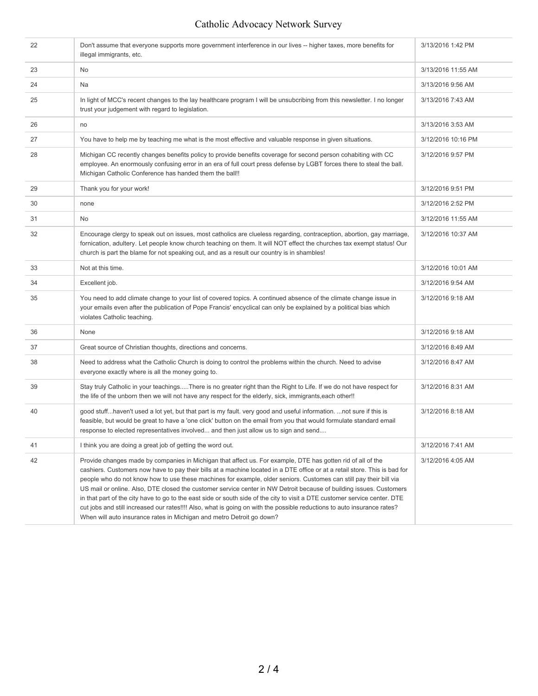## Catholic Advocacy Network Survey

| 22 | Don't assume that everyone supports more government interference in our lives -- higher taxes, more benefits for<br>illegal immigrants, etc.                                                                                                                                                                                                                                                                                                                                                                                                                                                                                                                                                                                                                                                                             | 3/13/2016 1:42 PM  |
|----|--------------------------------------------------------------------------------------------------------------------------------------------------------------------------------------------------------------------------------------------------------------------------------------------------------------------------------------------------------------------------------------------------------------------------------------------------------------------------------------------------------------------------------------------------------------------------------------------------------------------------------------------------------------------------------------------------------------------------------------------------------------------------------------------------------------------------|--------------------|
| 23 | No                                                                                                                                                                                                                                                                                                                                                                                                                                                                                                                                                                                                                                                                                                                                                                                                                       | 3/13/2016 11:55 AM |
| 24 | Na                                                                                                                                                                                                                                                                                                                                                                                                                                                                                                                                                                                                                                                                                                                                                                                                                       | 3/13/2016 9:56 AM  |
| 25 | In light of MCC's recent changes to the lay healthcare program I will be unsubcribing from this newsletter. I no longer<br>trust your judgement with regard to legislation.                                                                                                                                                                                                                                                                                                                                                                                                                                                                                                                                                                                                                                              | 3/13/2016 7:43 AM  |
| 26 | no                                                                                                                                                                                                                                                                                                                                                                                                                                                                                                                                                                                                                                                                                                                                                                                                                       | 3/13/2016 3:53 AM  |
| 27 | You have to help me by teaching me what is the most effective and valuable response in given situations.                                                                                                                                                                                                                                                                                                                                                                                                                                                                                                                                                                                                                                                                                                                 | 3/12/2016 10:16 PM |
| 28 | Michigan CC recently changes benefits policy to provide benefits coverage for second person cohabiting with CC<br>employee. An enormously confusing error in an era of full court press defense by LGBT forces there to steal the ball.<br>Michigan Catholic Conference has handed them the ball!!                                                                                                                                                                                                                                                                                                                                                                                                                                                                                                                       | 3/12/2016 9:57 PM  |
| 29 | Thank you for your work!                                                                                                                                                                                                                                                                                                                                                                                                                                                                                                                                                                                                                                                                                                                                                                                                 | 3/12/2016 9:51 PM  |
| 30 | none                                                                                                                                                                                                                                                                                                                                                                                                                                                                                                                                                                                                                                                                                                                                                                                                                     | 3/12/2016 2:52 PM  |
| 31 | No                                                                                                                                                                                                                                                                                                                                                                                                                                                                                                                                                                                                                                                                                                                                                                                                                       | 3/12/2016 11:55 AM |
| 32 | Encourage clergy to speak out on issues, most catholics are clueless regarding, contraception, abortion, gay marriage,<br>fornication, adultery. Let people know church teaching on them. It will NOT effect the churches tax exempt status! Our<br>church is part the blame for not speaking out, and as a result our country is in shambles!                                                                                                                                                                                                                                                                                                                                                                                                                                                                           | 3/12/2016 10:37 AM |
| 33 | Not at this time.                                                                                                                                                                                                                                                                                                                                                                                                                                                                                                                                                                                                                                                                                                                                                                                                        | 3/12/2016 10:01 AM |
| 34 | Excellent job.                                                                                                                                                                                                                                                                                                                                                                                                                                                                                                                                                                                                                                                                                                                                                                                                           | 3/12/2016 9:54 AM  |
| 35 | You need to add climate change to your list of covered topics. A continued absence of the climate change issue in<br>your emails even after the publication of Pope Francis' encyclical can only be explained by a political bias which<br>violates Catholic teaching.                                                                                                                                                                                                                                                                                                                                                                                                                                                                                                                                                   | 3/12/2016 9:18 AM  |
| 36 | None                                                                                                                                                                                                                                                                                                                                                                                                                                                                                                                                                                                                                                                                                                                                                                                                                     | 3/12/2016 9:18 AM  |
| 37 | Great source of Christian thoughts, directions and concerns.                                                                                                                                                                                                                                                                                                                                                                                                                                                                                                                                                                                                                                                                                                                                                             | 3/12/2016 8:49 AM  |
| 38 | Need to address what the Catholic Church is doing to control the problems within the church. Need to advise<br>everyone exactly where is all the money going to.                                                                                                                                                                                                                                                                                                                                                                                                                                                                                                                                                                                                                                                         | 3/12/2016 8:47 AM  |
| 39 | Stay truly Catholic in your teachingsThere is no greater right than the Right to Life. If we do not have respect for<br>the life of the unborn then we will not have any respect for the elderly, sick, immigrants, each other!!                                                                                                                                                                                                                                                                                                                                                                                                                                                                                                                                                                                         | 3/12/2016 8:31 AM  |
| 40 | good stuffhaven't used a lot yet, but that part is my fault. very good and useful information. not sure if this is<br>feasible, but would be great to have a 'one click' button on the email from you that would formulate standard email<br>response to elected representatives involved and then just allow us to sign and send                                                                                                                                                                                                                                                                                                                                                                                                                                                                                        | 3/12/2016 8:18 AM  |
| 41 | I think you are doing a great job of getting the word out.                                                                                                                                                                                                                                                                                                                                                                                                                                                                                                                                                                                                                                                                                                                                                               | 3/12/2016 7:41 AM  |
| 42 | Provide changes made by companies in Michigan that affect us. For example, DTE has gotten rid of all of the<br>cashiers. Customers now have to pay their bills at a machine located in a DTE office or at a retail store. This is bad for<br>people who do not know how to use these machines for example, older seniors. Customes can still pay their bill via<br>US mail or online. Also, DTE closed the customer service center in NW Detroit because of building issues. Customers<br>in that part of the city have to go to the east side or south side of the city to visit a DTE customer service center. DTE<br>cut jobs and still increased our rates!!!! Also, what is going on with the possible reductions to auto insurance rates?<br>When will auto insurance rates in Michigan and metro Detroit go down? | 3/12/2016 4:05 AM  |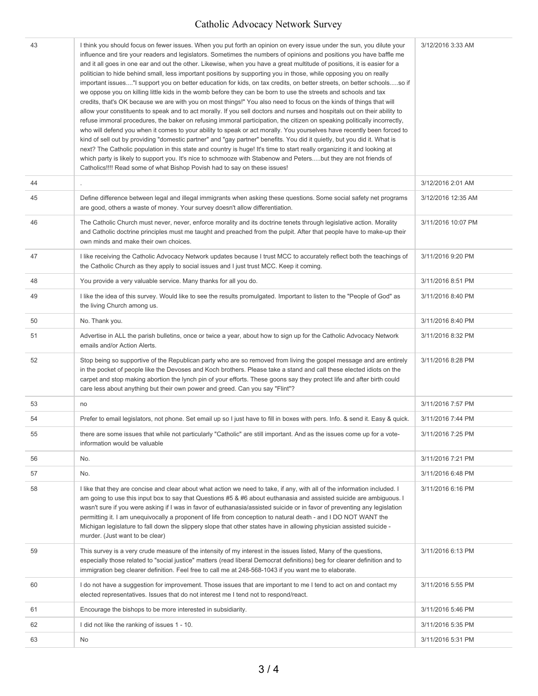## Catholic Advocacy Network Survey

| 43 | I think you should focus on fewer issues. When you put forth an opinion on every issue under the sun, you dilute your<br>influence and tire your readers and legislators. Sometimes the numbers of opinions and positions you have baffle me<br>and it all goes in one ear and out the other. Likewise, when you have a great multitude of positions, it is easier for a<br>politician to hide behind small, less important positions by supporting you in those, while opposing you on really<br>important issues" support you on better education for kids, on tax credits, on better streets, on better schoolsso if<br>we oppose you on killing little kids in the womb before they can be born to use the streets and schools and tax<br>credits, that's OK because we are with you on most things!" You also need to focus on the kinds of things that will<br>allow your constituents to speak and to act morally. If you sell doctors and nurses and hospitals out on their ability to<br>refuse immoral procedures, the baker on refusing immoral participation, the citizen on speaking politically incorrectly,<br>who will defend you when it comes to your ability to speak or act morally. You yourselves have recently been forced to<br>kind of sell out by providing "domestic partner" and "gay partner" benefits. You did it quietly, but you did it. What is<br>next? The Catholic population in this state and country is huge! It's time to start really organizing it and looking at<br>which party is likely to support you. It's nice to schmooze with Stabenow and Petersbut they are not friends of<br>Catholics!!!! Read some of what Bishop Povish had to say on these issues! | 3/12/2016 3:33 AM  |
|----|-------------------------------------------------------------------------------------------------------------------------------------------------------------------------------------------------------------------------------------------------------------------------------------------------------------------------------------------------------------------------------------------------------------------------------------------------------------------------------------------------------------------------------------------------------------------------------------------------------------------------------------------------------------------------------------------------------------------------------------------------------------------------------------------------------------------------------------------------------------------------------------------------------------------------------------------------------------------------------------------------------------------------------------------------------------------------------------------------------------------------------------------------------------------------------------------------------------------------------------------------------------------------------------------------------------------------------------------------------------------------------------------------------------------------------------------------------------------------------------------------------------------------------------------------------------------------------------------------------------------------------------------------------------------------------------------------------------|--------------------|
| 44 |                                                                                                                                                                                                                                                                                                                                                                                                                                                                                                                                                                                                                                                                                                                                                                                                                                                                                                                                                                                                                                                                                                                                                                                                                                                                                                                                                                                                                                                                                                                                                                                                                                                                                                             | 3/12/2016 2:01 AM  |
| 45 | Define difference between legal and illegal immigrants when asking these questions. Some social safety net programs<br>are good, others a waste of money. Your survey doesn't allow differentiation.                                                                                                                                                                                                                                                                                                                                                                                                                                                                                                                                                                                                                                                                                                                                                                                                                                                                                                                                                                                                                                                                                                                                                                                                                                                                                                                                                                                                                                                                                                        | 3/12/2016 12:35 AM |
| 46 | The Catholic Church must never, never, enforce morality and its doctrine tenets through legislative action. Morality<br>and Catholic doctrine principles must me taught and preached from the pulpit. After that people have to make-up their<br>own minds and make their own choices.                                                                                                                                                                                                                                                                                                                                                                                                                                                                                                                                                                                                                                                                                                                                                                                                                                                                                                                                                                                                                                                                                                                                                                                                                                                                                                                                                                                                                      | 3/11/2016 10:07 PM |
| 47 | I like receiving the Catholic Advocacy Network updates because I trust MCC to accurately reflect both the teachings of<br>the Catholic Church as they apply to social issues and I just trust MCC. Keep it coming.                                                                                                                                                                                                                                                                                                                                                                                                                                                                                                                                                                                                                                                                                                                                                                                                                                                                                                                                                                                                                                                                                                                                                                                                                                                                                                                                                                                                                                                                                          | 3/11/2016 9:20 PM  |
| 48 | You provide a very valuable service. Many thanks for all you do.                                                                                                                                                                                                                                                                                                                                                                                                                                                                                                                                                                                                                                                                                                                                                                                                                                                                                                                                                                                                                                                                                                                                                                                                                                                                                                                                                                                                                                                                                                                                                                                                                                            | 3/11/2016 8:51 PM  |
| 49 | I like the idea of this survey. Would like to see the results promulgated. Important to listen to the "People of God" as<br>the living Church among us.                                                                                                                                                                                                                                                                                                                                                                                                                                                                                                                                                                                                                                                                                                                                                                                                                                                                                                                                                                                                                                                                                                                                                                                                                                                                                                                                                                                                                                                                                                                                                     | 3/11/2016 8:40 PM  |
| 50 | No. Thank you.                                                                                                                                                                                                                                                                                                                                                                                                                                                                                                                                                                                                                                                                                                                                                                                                                                                                                                                                                                                                                                                                                                                                                                                                                                                                                                                                                                                                                                                                                                                                                                                                                                                                                              | 3/11/2016 8:40 PM  |
| 51 | Advertise in ALL the parish bulletins, once or twice a year, about how to sign up for the Catholic Advocacy Network<br>emails and/or Action Alerts.                                                                                                                                                                                                                                                                                                                                                                                                                                                                                                                                                                                                                                                                                                                                                                                                                                                                                                                                                                                                                                                                                                                                                                                                                                                                                                                                                                                                                                                                                                                                                         | 3/11/2016 8:32 PM  |
| 52 | Stop being so supportive of the Republican party who are so removed from living the gospel message and are entirely<br>in the pocket of people like the Devoses and Koch brothers. Please take a stand and call these elected idiots on the<br>carpet and stop making abortion the lynch pin of your efforts. These goons say they protect life and after birth could<br>care less about anything but their own power and greed. Can you say "Flint"?                                                                                                                                                                                                                                                                                                                                                                                                                                                                                                                                                                                                                                                                                                                                                                                                                                                                                                                                                                                                                                                                                                                                                                                                                                                       | 3/11/2016 8:28 PM  |
| 53 | no                                                                                                                                                                                                                                                                                                                                                                                                                                                                                                                                                                                                                                                                                                                                                                                                                                                                                                                                                                                                                                                                                                                                                                                                                                                                                                                                                                                                                                                                                                                                                                                                                                                                                                          | 3/11/2016 7:57 PM  |
| 54 | Prefer to email legislators, not phone. Set email up so I just have to fill in boxes with pers. Info. & send it. Easy & quick.                                                                                                                                                                                                                                                                                                                                                                                                                                                                                                                                                                                                                                                                                                                                                                                                                                                                                                                                                                                                                                                                                                                                                                                                                                                                                                                                                                                                                                                                                                                                                                              | 3/11/2016 7:44 PM  |
| 55 | there are some issues that while not particularly "Catholic" are still important. And as the issues come up for a vote-<br>information would be valuable                                                                                                                                                                                                                                                                                                                                                                                                                                                                                                                                                                                                                                                                                                                                                                                                                                                                                                                                                                                                                                                                                                                                                                                                                                                                                                                                                                                                                                                                                                                                                    | 3/11/2016 7:25 PM  |
| 56 | No.                                                                                                                                                                                                                                                                                                                                                                                                                                                                                                                                                                                                                                                                                                                                                                                                                                                                                                                                                                                                                                                                                                                                                                                                                                                                                                                                                                                                                                                                                                                                                                                                                                                                                                         | 3/11/2016 7:21 PM  |
| 57 | No.                                                                                                                                                                                                                                                                                                                                                                                                                                                                                                                                                                                                                                                                                                                                                                                                                                                                                                                                                                                                                                                                                                                                                                                                                                                                                                                                                                                                                                                                                                                                                                                                                                                                                                         | 3/11/2016 6:48 PM  |
| 58 | I like that they are concise and clear about what action we need to take, if any, with all of the information included. I<br>am going to use this input box to say that Questions #5 & #6 about euthanasia and assisted suicide are ambiguous. I<br>wasn't sure if you were asking if I was in favor of euthanasia/assisted suicide or in favor of preventing any legislation<br>permitting it. I am unequivocally a proponent of life from conception to natural death - and I DO NOT WANT the<br>Michigan legislature to fall down the slippery slope that other states have in allowing physician assisted suicide -<br>murder. (Just want to be clear)                                                                                                                                                                                                                                                                                                                                                                                                                                                                                                                                                                                                                                                                                                                                                                                                                                                                                                                                                                                                                                                  | 3/11/2016 6:16 PM  |
| 59 | This survey is a very crude measure of the intensity of my interest in the issues listed, Many of the questions,<br>especially those related to "social justice" matters (read liberal Democrat definitions) beg for clearer definition and to<br>immigration beg clearer definition. Feel free to call me at 248-568-1043 if you want me to elaborate.                                                                                                                                                                                                                                                                                                                                                                                                                                                                                                                                                                                                                                                                                                                                                                                                                                                                                                                                                                                                                                                                                                                                                                                                                                                                                                                                                     | 3/11/2016 6:13 PM  |
| 60 | I do not have a suggestion for improvement. Those issues that are important to me I tend to act on and contact my<br>elected representatives. Issues that do not interest me I tend not to respond/react.                                                                                                                                                                                                                                                                                                                                                                                                                                                                                                                                                                                                                                                                                                                                                                                                                                                                                                                                                                                                                                                                                                                                                                                                                                                                                                                                                                                                                                                                                                   | 3/11/2016 5:55 PM  |
| 61 | Encourage the bishops to be more interested in subsidiarity.                                                                                                                                                                                                                                                                                                                                                                                                                                                                                                                                                                                                                                                                                                                                                                                                                                                                                                                                                                                                                                                                                                                                                                                                                                                                                                                                                                                                                                                                                                                                                                                                                                                | 3/11/2016 5:46 PM  |
| 62 | I did not like the ranking of issues 1 - 10.                                                                                                                                                                                                                                                                                                                                                                                                                                                                                                                                                                                                                                                                                                                                                                                                                                                                                                                                                                                                                                                                                                                                                                                                                                                                                                                                                                                                                                                                                                                                                                                                                                                                | 3/11/2016 5:35 PM  |
| 63 | No                                                                                                                                                                                                                                                                                                                                                                                                                                                                                                                                                                                                                                                                                                                                                                                                                                                                                                                                                                                                                                                                                                                                                                                                                                                                                                                                                                                                                                                                                                                                                                                                                                                                                                          | 3/11/2016 5:31 PM  |